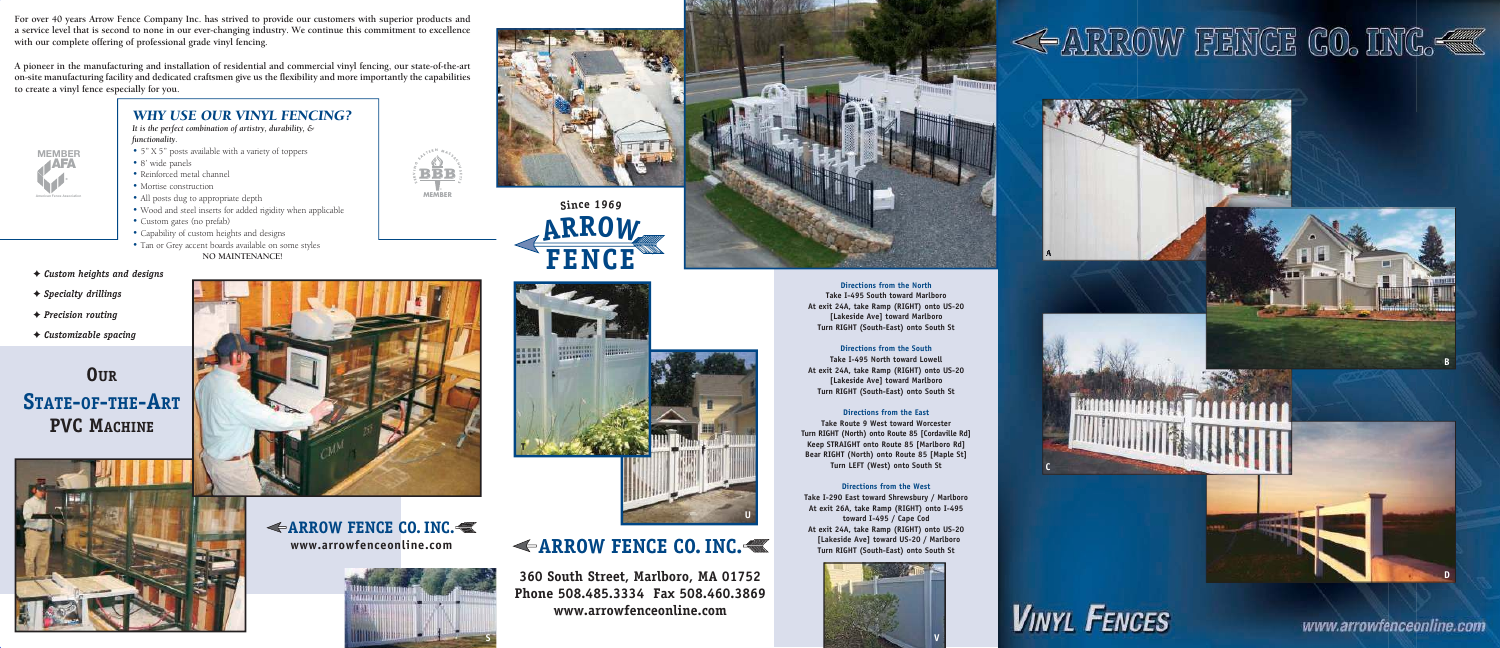**For over 40 years Arrow Fence Company Inc. has strived to provide our customers with superior products and a service level that is second to none in our ever-changing industry. We continue this commitment to excellence with our complete offering of professional grade vinyl fencing.**

**A pioneer in the manufacturing and installation of residential and commercial vinyl fencing, our state-of-the-art on-site manufacturing facility and dedicated craftsmen give us the flexibility and more importantly the capabilities to create a vinyl fence especially for you.**

### *WHY USE OUR VINYL FENCING?*

*It is the perfect combination of artistry, durability, &* 

## **ARROW FENCE CO. INC.**

- 
- 
- 
- 
- 
- **functionality.**<br>
5" X 5" posts available with a variety of toppers<br>
8' wide panels<br>
Reinforced metal channel<br>
Mortise construction<br>
All posts dug to appropriate depth<br>
Wood and steel inserts for added rigidity
- 
- 
- **NO MAINTENANCE!**
- ✦ *Custom heights and designs*
- ✦ *Specialty drillings*
- ✦ *Precision routing*
- 

**360 South Street, Marlboro, MA 01752 Phone 508.485.3334 Fax 508.460.3869 www.arrowfenceonline.com**



**ERM <sup>A</sup> <sup>S</sup> <sup>S</sup> <sup>A</sup> <sup>C</sup> H U S T T**  $\mathcal{G}$ 

**S E K I N**  $\circ$   $\circ$   $\circ$   $\circ$   $\circ$   $\circ$ 

**Directions from the North Take I-495 South toward Marlboro At exit 24A, take Ramp (RIGHT) onto US-20 [Lakeside Ave] toward Marlboro Turn RIGHT (South-East) onto South St** 

#### **Directions from the South**

**Take I-495 North toward Lowell At exit 24A, take Ramp (RIGHT) onto US-20 [Lakeside Ave] toward Marlboro Turn RIGHT (South-East) onto South St** 

#### **Directions from the East**

**Take Route 9 West toward Worcester Turn RIGHT (North) onto Route 85 [Cordaville Rd] Keep STRAIGHT onto Route 85 [Marlboro Rd] Bear RIGHT (North) onto Route 85 [Maple St] Turn LEFT (West) onto South St** 

#### **Directions from the West**

**Take I-290 East toward Shrewsbury / Marlboro At exit 26A, take Ramp (RIGHT) onto I-495 toward I-495 / Cape Cod At exit 24A, take Ramp (RIGHT) onto US-20 [Lakeside Ave] toward US-20 / Marlboro Turn RIGHT (South-East) onto South St**

**OUR STATE -OF -THE-ART PVC MACHINE**







**BBB**

**® MEMBER**



**ARROW FENCE CO. INC. www.arrowfenceonline.com**

**A**

**B**

**C**

www.arrowfenceonline.com



**D**







# << ARROW FENCE CO. INC.<



**U**